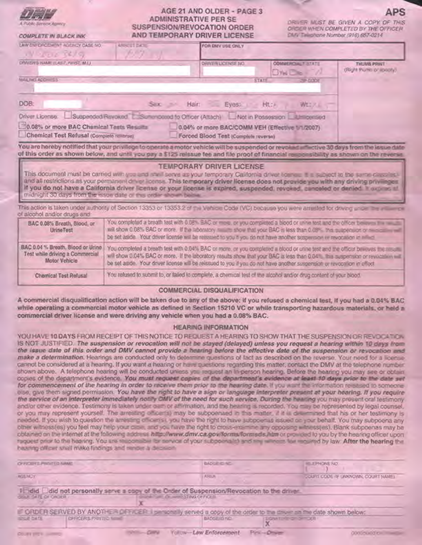|  | RUSSELL ROLL     |                |
|--|------------------|----------------|
|  | <b>SAMPLE</b>    |                |
|  | A. PLORO Service | <b>Acura's</b> |

COMPLETE IN BLACK INK

# AGE 21 AND OLDER - PAGE 3 **ADMINISTRATIVE PER SE** SUSPENSION/REVOCATION ORDER AND TEMPORARY DRIVER LICENSE

DRIVER MUST BE GIVEN A COPY OF THIS ORDER WHEN COMPLETED BY THE OFFICER CM/V Talkohane Number (916) 657-0214

| LAW ENFORCEMENT AGENCY CASE IVO.<br>IV LOC 34/9                                                                                                                                                                                                                                       | ARREST DATE<br>FOR DMV USE ONLY<br>667 |                                      |                                                 |                                          |
|---------------------------------------------------------------------------------------------------------------------------------------------------------------------------------------------------------------------------------------------------------------------------------------|----------------------------------------|--------------------------------------|-------------------------------------------------|------------------------------------------|
| DRIVER'S NAME (UNST. PIRST, M.L.).                                                                                                                                                                                                                                                    |                                        | DRIVER LICENSE NO.                   | COMMERCIAL T.<br>$DY_{M}D_{C}$                  | THUMB PRINT<br>(Right thunts or specify) |
| MAILING ADD-155<br>DOB:                                                                                                                                                                                                                                                               |                                        | Suc Main Eyes: Ht.:                  | <b>CODE</b><br><b>STATE</b><br>WESSL            |                                          |
| Driver License: Suspended Revoked T. Summoseed to Officer (Attach) Not in Possession L. Umpersed<br>30.08% or more BAC Chemical Tests Resume<br>Chemical Test Refusal (Complete relievel)                                                                                             |                                        | Forced Blood Test (Complete reverse) | 0.04% or more BAC/COMM VEH (Effective 1/1/2007) |                                          |
| You are hereby notified that your privilege to operate a motor vehicle will be suspended or revolust an active 30 days from the idsue date<br>of this order as shown below, and until you pay a \$125 relesue fee and file proof of financial responsibility as shown on the reverse. |                                        |                                      |                                                 |                                          |
|                                                                                                                                                                                                                                                                                       |                                        | <b>TEMPORARY DRIVER LICENSE</b>      |                                                 |                                          |

This document must be carried with you and shall serve as your temporary California driver license. It is subject to the same classifies and all restrictions as your permanent driver license. This temporary driver license does not provide you with any driving privileges If you do not have a California driver license or your license is expired, suspended, revoked, canceled or denied. It suppose at midnight 30 days from the issue date of this order shown below.

This action is taken under authority of Section 13353 or 13353.2 of the Vehicle Code (VC) because you were arrivated for driving under the arrival proof alcohol and/or drugs and

| BAC 0.08% Breath, Blood, or<br>UrineTest                                             | You completed a breath fest with 0.08% SAC or more, or you completed a blood or unine test and the officer beseen the model<br>will show 0.08% BAC or more. If the abonatory making show that your BAC is less than 0.09%. This suspension or measurement<br>be set aside. Your dover license will be reissued to you it you do not have another suspension or revocation in either                |
|--------------------------------------------------------------------------------------|----------------------------------------------------------------------------------------------------------------------------------------------------------------------------------------------------------------------------------------------------------------------------------------------------------------------------------------------------------------------------------------------------|
| BAC 0.04% Breath, Blood or Unino<br>Test while driving a Commercial<br>Motor Vehicle | You completed a breath test with 0.04% BAC or more, or you completed a blood or unne test and the officer beveyes the ring that<br>will show 0.04% BAC or more. If the laboratory results show that your BAC is less than 0.04%. This suspension or revolution will if<br>be set aside. Your driver license will be reissued to you if you do not have another suspension or revocation in effect. |
| Chemical Test Refusal                                                                | You relused to submit to, or failed to complete, a chemical test of the alcohol and/or drug content of your blood.                                                                                                                                                                                                                                                                                 |

## **COMMERCIAL DISQUALIFICATION**

A commercial disqualification action will be taken due to any of the above: if you refused a chemical lest, if you had a 0.04% BAC while operating a commercial motor vehicle as defined in Section 15210 VC or while transporting hazardous materials, or held a commercial driver license and were driving any vehicle when you had a 0.08% BAC.

# **HEARING INFORMATION**

YOU HAVE 10 DAYS FROM RECEIPT OF THIS NOTICE TO REQUEST A HEARING TO SHOW THAT THE SUSPENSION OR REVOCATION. IS NOT JUSTIFIED. The suspension or revocation will not be stayed (delayed) unless you request a hearing within 10 days from the issue date of this order and DMV cannot provide a hearing before the effective date of the suspension or revocation and make a determination. Hearings are conducted only to determine questions of fact as described on the reverse. Your need for a license cannot be considered at a hearing. If you want a hearing or have questions regarding this matter, contact the DMV at the telephone number. shown above. A telephone hearing will be conducted unless you request an in-person hearing. Before the hearing you may see or obtain copies of the department's evidence. You must request copies of the department's evidence at least 10 days prior to the date set for commencement of the hearing in order to receive them prior to the hearing date. If you want the information released to someoneelse, give them signed permission. You have the right to have a sign or language interpreter present at your hearing. If you require the service of an interpreter immediately notify DMV of the need for such service. During the heading you may present oral testsmony. and/or other evidence. Testimony is taken under earn or affirmation, and the hearing is recorded. You may be represented by legal counsel, or you may represent yourself. The arresting officer(s) may be subpoenaed in this matter, if it is determined that his or her testimony is needed. If you wish to question the amesting officers it, you have the right to have subpoemed assued on your behalf. You may subpoena any other witness(es) you feel may help your case, and you have the right to cross-examine any opposing witness(es). Blank subpoenas may be obtained on the internet at the following address http://www.dmv.ca.gov/forms/formsds.htm or provided to you by the hearing officer upon raquest prior to the hearing. You are responsible for service of your subpoenalish and ring wheels for required by law. After the hearing the hearing officer shall make findings and render a decision.

| OFFICIERS PROTECUMME                                                                                                                                            |  | <b>BADGE CONC.</b>                      | <b>ISLETHONE NO.</b>    |                                     |  |
|-----------------------------------------------------------------------------------------------------------------------------------------------------------------|--|-----------------------------------------|-------------------------|-------------------------------------|--|
| <b>AGEMOV</b>                                                                                                                                                   |  | ASO-JL                                  |                         | JOURN COOL IN UNKNOWN, COURT NAMES. |  |
| I Fidid Eldid not personally serve a copy of the Order of Suspension/Revocation to the driver<br><b>GEILE SATE OF ORDER /</b>                                   |  | <b>CONTRACTOR OF A MODEL CONTRACTOR</b> |                         |                                     |  |
| IF ORDER SERVED BY ANOTHER OFFICER. I personally served a copy of the order to the driver an the date shown below:<br><b>OFFICERS PRINTED NEWS</b><br>SOLE DATE |  | BADGE/ID NO                             | <b>SOMEONE OF BUILT</b> |                                     |  |
| <b>COURT STERN COMMON</b>                                                                                                                                       |  | Yollow-Law Enforcement-                 | <b>Diritt-Object</b>    | <b>GOODWICT COMPANY</b>             |  |